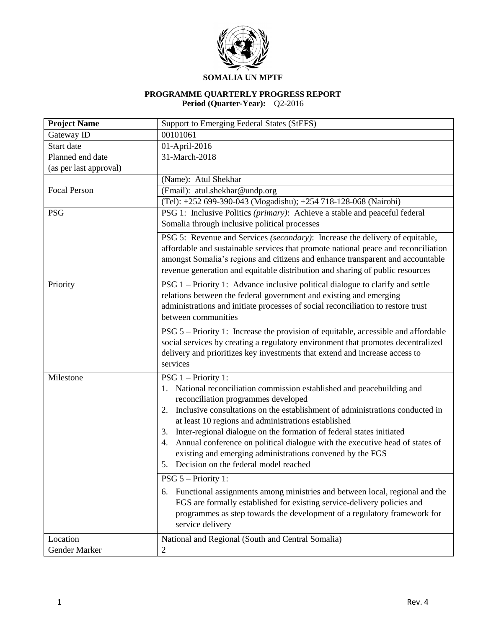

## **SOMALIA UN MPTF**

#### **PROGRAMME QUARTERLY PROGRESS REPORT Period (Quarter-Year):** Q2-2016

| <b>Project Name</b>    | <b>Support to Emerging Federal States (StEFS)</b>                                  |
|------------------------|------------------------------------------------------------------------------------|
| Gateway ID             | 00101061                                                                           |
| Start date             | 01-April-2016                                                                      |
| Planned end date       | 31-March-2018                                                                      |
| (as per last approval) |                                                                                    |
|                        | (Name): Atul Shekhar                                                               |
| <b>Focal Person</b>    | (Email): atul.shekhar@undp.org                                                     |
|                        | (Tel): +252 699-390-043 (Mogadishu); +254 718-128-068 (Nairobi)                    |
| <b>PSG</b>             | PSG 1: Inclusive Politics (primary): Achieve a stable and peaceful federal         |
|                        | Somalia through inclusive political processes                                      |
|                        | PSG 5: Revenue and Services (secondary): Increase the delivery of equitable,       |
|                        | affordable and sustainable services that promote national peace and reconciliation |
|                        | amongst Somalia's regions and citizens and enhance transparent and accountable     |
|                        | revenue generation and equitable distribution and sharing of public resources      |
| Priority               | PSG 1 – Priority 1: Advance inclusive political dialogue to clarify and settle     |
|                        | relations between the federal government and existing and emerging                 |
|                        | administrations and initiate processes of social reconciliation to restore trust   |
|                        | between communities                                                                |
|                        | PSG 5 – Priority 1: Increase the provision of equitable, accessible and affordable |
|                        | social services by creating a regulatory environment that promotes decentralized   |
|                        | delivery and prioritizes key investments that extend and increase access to        |
|                        | services                                                                           |
| Milestone              | PSG 1 - Priority 1:                                                                |
|                        | National reconciliation commission established and peacebuilding and<br>1.         |
|                        | reconciliation programmes developed                                                |
|                        | Inclusive consultations on the establishment of administrations conducted in<br>2. |
|                        | at least 10 regions and administrations established                                |
|                        | Inter-regional dialogue on the formation of federal states initiated<br>3.         |
|                        | Annual conference on political dialogue with the executive head of states of<br>4. |
|                        | existing and emerging administrations convened by the FGS                          |
|                        | 5. Decision on the federal model reached                                           |
|                        | PSG 5 - Priority 1:                                                                |
|                        | 6. Functional assignments among ministries and between local, regional and the     |
|                        | FGS are formally established for existing service-delivery policies and            |
|                        | programmes as step towards the development of a regulatory framework for           |
|                        | service delivery                                                                   |
|                        |                                                                                    |
| Location               | National and Regional (South and Central Somalia)                                  |
| Gender Marker          | $\mathfrak{2}$                                                                     |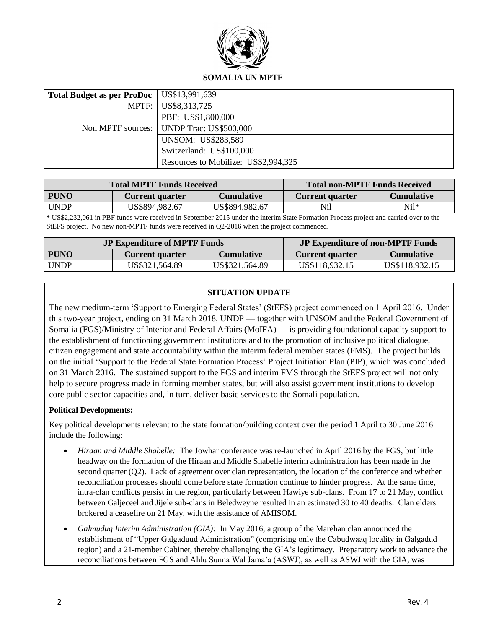

| Total Budget as per ProDoc   US\$13,991,639 |                                          |
|---------------------------------------------|------------------------------------------|
|                                             | MPTF: US\$8,313,725                      |
|                                             | PBF: US\$1,800,000                       |
|                                             | Non MPTF sources: UNDP Trac: US\$500,000 |
|                                             | <b>UNSOM: US\$283,589</b>                |
|                                             | Switzerland: US\$100,000                 |
|                                             | Resources to Mobilize: US\$2,994,325     |

| <b>Total MPTF Funds Received</b> |                        | <b>Total non-MPTF Funds Received</b> |                        |                   |
|----------------------------------|------------------------|--------------------------------------|------------------------|-------------------|
| <b>PUNO</b>                      | <b>Current quarter</b> | <b>Cumulative</b>                    | <b>Current quarter</b> | <b>Cumulative</b> |
| <b>UNDP</b>                      | US\$894,982.67         | US\$894,982.67                       | Nil                    | $Ni1*$            |

**\*** US\$2,232,061 in PBF funds were received in September 2015 under the interim State Formation Process project and carried over to the StEFS project. No new non-MPTF funds were received in Q2-2016 when the project commenced.

| <b>JP Expenditure of MPTF Funds</b> |                        | <b>JP Expenditure of non-MPTF Funds</b> |                        |                   |
|-------------------------------------|------------------------|-----------------------------------------|------------------------|-------------------|
| <b>PUNO</b>                         | <b>Current quarter</b> | <b>Cumulative</b>                       | <b>Current quarter</b> | <b>Cumulative</b> |
| <b>UNDP</b>                         | US\$321,564.89         | US\$321,564.89                          | US\$118,932.15         | US\$118,932.15    |

## **SITUATION UPDATE**

The new medium-term 'Support to Emerging Federal States' (StEFS) project commenced on 1 April 2016. Under this two-year project, ending on 31 March 2018, UNDP — together with UNSOM and the Federal Government of Somalia (FGS)/Ministry of Interior and Federal Affairs (MoIFA) — is providing foundational capacity support to the establishment of functioning government institutions and to the promotion of inclusive political dialogue, citizen engagement and state accountability within the interim federal member states (FMS). The project builds on the initial 'Support to the Federal State Formation Process' Project Initiation Plan (PIP), which was concluded on 31 March 2016. The sustained support to the FGS and interim FMS through the StEFS project will not only help to secure progress made in forming member states, but will also assist government institutions to develop core public sector capacities and, in turn, deliver basic services to the Somali population.

## **Political Developments:**

Key political developments relevant to the state formation/building context over the period 1 April to 30 June 2016 include the following:

- *Hiraan and Middle Shabelle:* The Jowhar conference was re-launched in April 2016 by the FGS, but little headway on the formation of the Hiraan and Middle Shabelle interim administration has been made in the second quarter (Q2). Lack of agreement over clan representation, the location of the conference and whether reconciliation processes should come before state formation continue to hinder progress. At the same time, intra-clan conflicts persist in the region, particularly between Hawiye sub-clans. From 17 to 21 May, conflict between Galjeceel and Jijele sub-clans in Beledweyne resulted in an estimated 30 to 40 deaths. Clan elders brokered a ceasefire on 21 May, with the assistance of AMISOM.
- *Galmudug Interim Administration (GIA):* In May 2016, a group of the Marehan clan announced the establishment of "Upper Galgaduud Administration" (comprising only the Cabudwaaq locality in Galgadud region) and a 21-member Cabinet, thereby challenging the GIA's legitimacy. Preparatory work to advance the reconciliations between FGS and Ahlu Sunna Wal Jama'a (ASWJ), as well as ASWJ with the GIA, was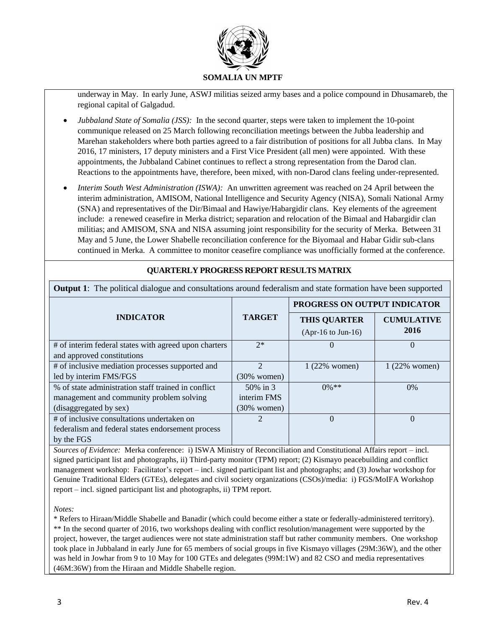

underway in May. In early June, ASWJ militias seized army bases and a police compound in Dhusamareb, the regional capital of Galgadud.

- *Jubbaland State of Somalia (JSS):* In the second quarter, steps were taken to implement the 10-point communique released on 25 March following reconciliation meetings between the Jubba leadership and Marehan stakeholders where both parties agreed to a fair distribution of positions for all Jubba clans. In May 2016, 17 ministers, 17 deputy ministers and a First Vice President (all men) were appointed. With these appointments, the Jubbaland Cabinet continues to reflect a strong representation from the Darod clan. Reactions to the appointments have, therefore, been mixed, with non-Darod clans feeling under-represented.
- *Interim South West Administration (ISWA):* An unwritten agreement was reached on 24 April between the interim administration, AMISOM, National Intelligence and Security Agency (NISA), Somali National Army (SNA) and representatives of the Dir/Bimaal and Hawiye/Habargidir clans. Key elements of the agreement include: a renewed ceasefire in Merka district; separation and relocation of the Bimaal and Habargidir clan militias; and AMISOM, SNA and NISA assuming joint responsibility for the security of Merka. Between 31 May and 5 June, the Lower Shabelle reconciliation conference for the Biyomaal and Habar Gidir sub-clans continued in Merka. A committee to monitor ceasefire compliance was unofficially formed at the conference.

| <b>Output 1:</b> The political dialogue and consultations around federalism and state formation have been supported |                |                                                     |                           |
|---------------------------------------------------------------------------------------------------------------------|----------------|-----------------------------------------------------|---------------------------|
|                                                                                                                     | <b>TARGET</b>  | PROGRESS ON OUTPUT INDICATOR                        |                           |
| <b>INDICATOR</b>                                                                                                    |                | <b>THIS QUARTER</b><br>$(Apr-16 \text{ to Jun-}16)$ | <b>CUMULATIVE</b><br>2016 |
| # of interim federal states with agreed upon charters                                                               | $2*$           | $\Omega$                                            | $\Omega$                  |
| and approved constitutions                                                                                          |                |                                                     |                           |
| # of inclusive mediation processes supported and                                                                    | $\mathcal{D}$  | $1(22\%$ women)                                     | 1 (22% women)             |
| led by interim FMS/FGS                                                                                              | $(30\%$ women) |                                                     |                           |
| % of state administration staff trained in conflict                                                                 | 50% in 3       | $0\%$ **                                            | 0%                        |
| management and community problem solving                                                                            | interim FMS    |                                                     |                           |
| (disaggregated by sex)                                                                                              | $(30\%$ women) |                                                     |                           |
| # of inclusive consultations undertaken on                                                                          | 2              | $\Omega$                                            | $\Omega$                  |
| federalism and federal states endorsement process                                                                   |                |                                                     |                           |
| by the FGS                                                                                                          |                |                                                     |                           |

## **QUARTERLY PROGRESS REPORT RESULTS MATRIX**

by the FGS *Sources of Evidence:* Merka conference: i) ISWA Ministry of Reconciliation and Constitutional Affairs report – incl. signed participant list and photographs, ii) Third-party monitor (TPM) report; (2) Kismayo peacebuilding and conflict management workshop: Facilitator's report – incl. signed participant list and photographs; and (3) Jowhar workshop for Genuine Traditional Elders (GTEs), delegates and civil society organizations (CSOs)/media: i) FGS/MoIFA Workshop report – incl. signed participant list and photographs, ii) TPM report.

*Notes:*

\* Refers to Hiraan/Middle Shabelle and Banadir (which could become either a state or federally-administered territory). \*\* In the second quarter of 2016, two workshops dealing with conflict resolution/management were supported by the project, however, the target audiences were not state administration staff but rather community members. One workshop took place in Jubbaland in early June for 65 members of social groups in five Kismayo villages (29M:36W), and the other was held in Jowhar from 9 to 10 May for 100 GTEs and delegates (99M:1W) and 82 CSO and media representatives (46M:36W) from the Hiraan and Middle Shabelle region.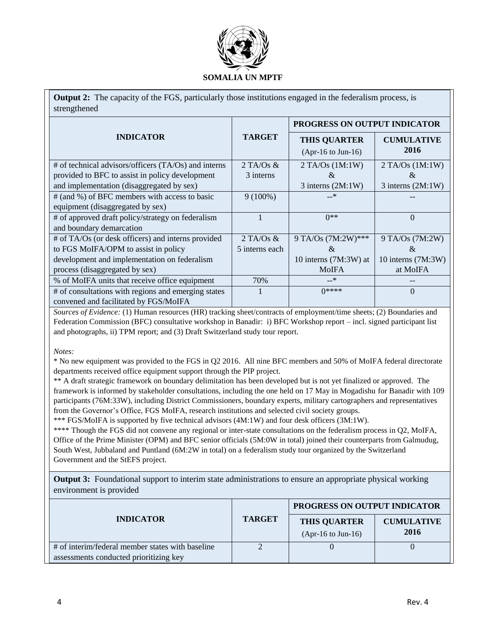

**Output 2:** The capacity of the FGS, particularly those institutions engaged in the federalism process, is strengthened

|                                                        |                | PROGRESS ON OUTPUT INDICATOR                        |                           |
|--------------------------------------------------------|----------------|-----------------------------------------------------|---------------------------|
| <b>INDICATOR</b>                                       | <b>TARGET</b>  | <b>THIS QUARTER</b><br>$(Apr-16 \text{ to Jun-}16)$ | <b>CUMULATIVE</b><br>2016 |
| $#$ of technical advisors/officers (TA/Os) and interns | $2$ TA/Os &    | $2$ TA/Os $(1M:1W)$                                 | $2$ TA/Os $(1M:1W)$       |
| provided to BFC to assist in policy development        | 3 interns      | &                                                   | &                         |
| and implementation (disaggregated by sex)              |                | $3$ interns $(2M:1W)$                               | $3$ interns $(2M:1W)$     |
| # (and %) of BFC members with access to basic          | $9(100\%)$     | $-*$                                                |                           |
| equipment (disaggregated by sex)                       |                |                                                     |                           |
| # of approved draft policy/strategy on federalism      |                | $0**$                                               | $\Omega$                  |
| and boundary demarcation                               |                |                                                     |                           |
| # of TA/Os (or desk officers) and interns provided     | $2$ TA/Os &    | 9 TA/Os (7M:2W)***                                  | 9 TA/Os (7M:2W)           |
| to FGS MoIFA/OPM to assist in policy                   | 5 interns each | $\&$                                                | $\&$                      |
| development and implementation on federalism           |                | 10 interns $(7M:3W)$ at                             | 10 interns (7M:3W)        |
| process (disaggregated by sex)                         |                | <b>MoIFA</b>                                        | at MoIFA                  |
| % of MoIFA units that receive office equipment         | 70%            | $-*$                                                |                           |
| # of consultations with regions and emerging states    |                | $0****0$                                            | $\theta$                  |
| convened and facilitated by FGS/MoIFA                  |                |                                                     |                           |

*Sources of Evidence:* (1) Human resources (HR) tracking sheet/contracts of employment/time sheets; (2) Boundaries and Federation Commission (BFC) consultative workshop in Banadir: i) BFC Workshop report – incl. signed participant list and photographs, ii) TPM report; and (3) Draft Switzerland study tour report.

*Notes:*

\* No new equipment was provided to the FGS in Q2 2016. All nine BFC members and 50% of MoIFA federal directorate departments received office equipment support through the PIP project.

\*\* A draft strategic framework on boundary delimitation has been developed but is not yet finalized or approved. The framework is informed by stakeholder consultations, including the one held on 17 May in Mogadishu for Banadir with 109 participants (76M:33W), including District Commissioners, boundary experts, military cartographers and representatives from the Governor's Office, FGS MoIFA, research institutions and selected civil society groups.

\*\*\* FGS/MoIFA is supported by five technical advisors (4M:1W) and four desk officers (3M:1W).

\*\*\*\* Though the FGS did not convene any regional or inter-state consultations on the federalism process in Q2, MoIFA, Office of the Prime Minister (OPM) and BFC senior officials (5M:0W in total) joined their counterparts from Galmudug, South West, Jubbaland and Puntland (6M:2W in total) on a federalism study tour organized by the Switzerland Government and the StEFS project.

**Output 3:** Foundational support to interim state administrations to ensure an appropriate physical working environment is provided

|                                                                                            | <b>TARGET</b> | PROGRESS ON OUTPUT INDICATOR                        |                           |
|--------------------------------------------------------------------------------------------|---------------|-----------------------------------------------------|---------------------------|
| <b>INDICATOR</b>                                                                           |               | <b>THIS QUARTER</b><br>$(Apr-16 \text{ to Jun-}16)$ | <b>CUMULATIVE</b><br>2016 |
| # of interim/federal member states with baseline<br>assessments conducted prioritizing key |               |                                                     |                           |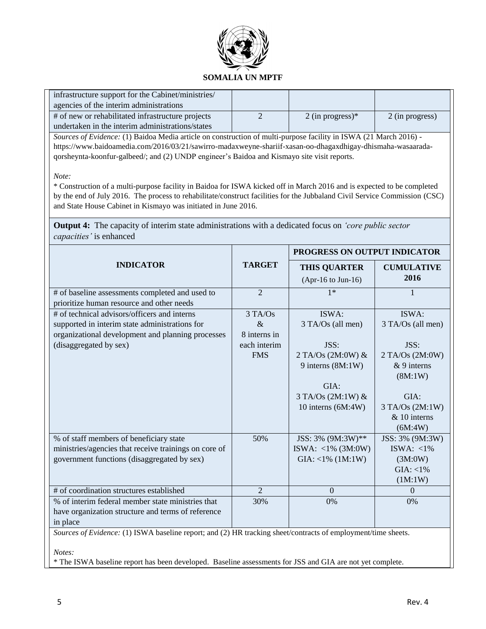

| infrastructure support for the Cabinet/ministries/                                                                                                                                                                                                   |                |                              |                     |
|------------------------------------------------------------------------------------------------------------------------------------------------------------------------------------------------------------------------------------------------------|----------------|------------------------------|---------------------|
| agencies of the interim administrations                                                                                                                                                                                                              |                |                              |                     |
| # of new or rehabilitated infrastructure projects                                                                                                                                                                                                    | $\overline{2}$ | 2 (in progress) $*$          | 2 (in progress)     |
| undertaken in the interim administrations/states                                                                                                                                                                                                     |                |                              |                     |
| Sources of Evidence: (1) Baidoa Media article on construction of multi-purpose facility in ISWA (21 March 2016) -                                                                                                                                    |                |                              |                     |
| https://www.baidoamedia.com/2016/03/21/sawirro-madaxweyne-shariif-xasan-oo-dhagaxdhigay-dhismaha-wasaarada-                                                                                                                                          |                |                              |                     |
| qorsheynta-koonfur-galbeed/; and (2) UNDP engineer's Baidoa and Kismayo site visit reports.                                                                                                                                                          |                |                              |                     |
| Note:                                                                                                                                                                                                                                                |                |                              |                     |
| * Construction of a multi-purpose facility in Baidoa for ISWA kicked off in March 2016 and is expected to be completed<br>by the end of July 2016. The process to rehabilitate/construct facilities for the Jubbaland Civil Service Commission (CSC) |                |                              |                     |
| and State House Cabinet in Kismayo was initiated in June 2016.                                                                                                                                                                                       |                |                              |                     |
|                                                                                                                                                                                                                                                      |                |                              |                     |
| <b>Output 4:</b> The capacity of interim state administrations with a dedicated focus on 'core public sector<br>capacities' is enhanced                                                                                                              |                |                              |                     |
|                                                                                                                                                                                                                                                      |                | PROGRESS ON OUTPUT INDICATOR |                     |
| <b>INDICATOR</b>                                                                                                                                                                                                                                     | <b>TARGET</b>  | <b>THIS QUARTER</b>          | <b>CUMULATIVE</b>   |
|                                                                                                                                                                                                                                                      |                | $(Apr-16$ to Jun-16)         | 2016                |
| # of baseline assessments completed and used to                                                                                                                                                                                                      | $\overline{2}$ | $1*$                         | 1                   |
| prioritize human resource and other needs                                                                                                                                                                                                            |                |                              |                     |
| # of technical advisors/officers and interns                                                                                                                                                                                                         | 3 TA/Os        | ISWA:                        | ISWA:               |
| supported in interim state administrations for                                                                                                                                                                                                       | $\&$           | 3 TA/Os (all men)            | 3 TA/Os (all men)   |
| organizational development and planning processes                                                                                                                                                                                                    | 8 interns in   |                              |                     |
| (disaggregated by sex)                                                                                                                                                                                                                               | each interim   | JSS:                         | JSS:                |
|                                                                                                                                                                                                                                                      | <b>FMS</b>     | 2 TA/Os (2M:0W) &            | 2 TA/Os (2M:0W)     |
|                                                                                                                                                                                                                                                      |                | 9 interns (8M:1W)            | $& 9$ interns       |
|                                                                                                                                                                                                                                                      |                |                              | (8M:1W)             |
|                                                                                                                                                                                                                                                      |                | GIA:                         |                     |
|                                                                                                                                                                                                                                                      |                | 3 TA/Os (2M:1W) &            | GIA:                |
|                                                                                                                                                                                                                                                      |                | 10 interns (6M:4W)           | $3$ TA/Os $(2M:1W)$ |
|                                                                                                                                                                                                                                                      |                |                              | & 10 interns        |
|                                                                                                                                                                                                                                                      |                |                              | (6M:4W)             |
| % of staff members of beneficiary state                                                                                                                                                                                                              | 50%            | JSS: 3% (9M:3W)**            | JSS: 3% (9M:3W)     |
| ministries/agencies that receive trainings on core of                                                                                                                                                                                                |                | ISWA: <1% $(3M:0W)$          | ISWA: $<$ 1%        |
| government functions (disaggregated by sex)                                                                                                                                                                                                          |                | $GIA: <1\% (1M:1W)$          | (3M:0W)             |
|                                                                                                                                                                                                                                                      |                |                              | $GIA: <1\%$         |
|                                                                                                                                                                                                                                                      |                |                              | (1M:1W)             |
| # of coordination structures established                                                                                                                                                                                                             | $\overline{2}$ | $\mathbf{0}$                 | $\theta$            |
| % of interim federal member state ministries that                                                                                                                                                                                                    | 30%            | 0%                           | 0%                  |
| have organization structure and terms of reference                                                                                                                                                                                                   |                |                              |                     |
| in place                                                                                                                                                                                                                                             |                |                              |                     |
| Sources of Evidence: (1) ISWA baseline report; and (2) HR tracking sheet/contracts of employment/time sheets.                                                                                                                                        |                |                              |                     |
| Notes:                                                                                                                                                                                                                                               |                |                              |                     |

\* The ISWA baseline report has been developed. Baseline assessments for JSS and GIA are not yet complete.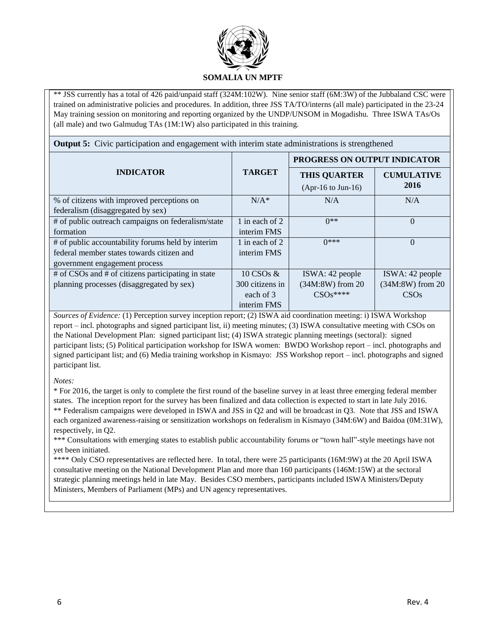

\*\* JSS currently has a total of 426 paid/unpaid staff (324M:102W). Nine senior staff (6M:3W) of the Jubbaland CSC were trained on administrative policies and procedures. In addition, three JSS TA/TO/interns (all male) participated in the 23-24 May training session on monitoring and reporting organized by the UNDP/UNSOM in Mogadishu. Three ISWA TAs/Os (all male) and two Galmudug TAs (1M:1W) also participated in this training.

**Output 5:** Civic participation and engagement with interim state administrations is strengthened

|                                                    |                 | PROGRESS ON OUTPUT INDICATOR |                   |
|----------------------------------------------------|-----------------|------------------------------|-------------------|
| <b>INDICATOR</b>                                   | <b>TARGET</b>   | <b>THIS QUARTER</b>          | <b>CUMULATIVE</b> |
|                                                    |                 | $(Apr-16 \text{ to Jun-}16)$ | 2016              |
| % of citizens with improved perceptions on         | $N/A^*$         | N/A                          | N/A               |
| federalism (disaggregated by sex)                  |                 |                              |                   |
| # of public outreach campaigns on federalism/state | 1 in each of 2  | $0**$                        | $\Omega$          |
| formation                                          | interim FMS     |                              |                   |
| # of public accountability forums held by interim  | 1 in each of 2  | $0***$                       | $\Omega$          |
| federal member states towards citizen and          | interim FMS     |                              |                   |
| government engagement process                      |                 |                              |                   |
| # of CSOs and # of citizens participating in state | 10 CSOs &       | ISWA: 42 people              | ISWA: 42 people   |
| planning processes (disaggregated by sex)          | 300 citizens in | (34M:8W) from 20             | (34M:8W) from 20  |
|                                                    | each of 3       | $CSOs***$                    | CSOs              |
|                                                    | interim FMS     |                              |                   |

*Sources of Evidence:* (1) Perception survey inception report; (2) ISWA aid coordination meeting: i) ISWA Workshop report – incl. photographs and signed participant list, ii) meeting minutes; (3) ISWA consultative meeting with CSOs on the National Development Plan: signed participant list; (4) ISWA strategic planning meetings (sectoral): signed participant lists; (5) Political participation workshop for ISWA women: BWDO Workshop report – incl. photographs and signed participant list; and (6) Media training workshop in Kismayo: JSS Workshop report – incl. photographs and signed participant list.

*Notes:*

\* For 2016, the target is only to complete the first round of the baseline survey in at least three emerging federal member states. The inception report for the survey has been finalized and data collection is expected to start in late July 2016. \*\* Federalism campaigns were developed in ISWA and JSS in Q2 and will be broadcast in Q3. Note that JSS and ISWA each organized awareness-raising or sensitization workshops on federalism in Kismayo (34M:6W) and Baidoa (0M:31W), respectively, in Q2.

\*\*\* Consultations with emerging states to establish public accountability forums or "town hall"-style meetings have not yet been initiated.

\*\*\*\* Only CSO representatives are reflected here. In total, there were 25 participants (16M:9W) at the 20 April ISWA consultative meeting on the National Development Plan and more than 160 participants (146M:15W) at the sectoral strategic planning meetings held in late May. Besides CSO members, participants included ISWA Ministers/Deputy Ministers, Members of Parliament (MPs) and UN agency representatives.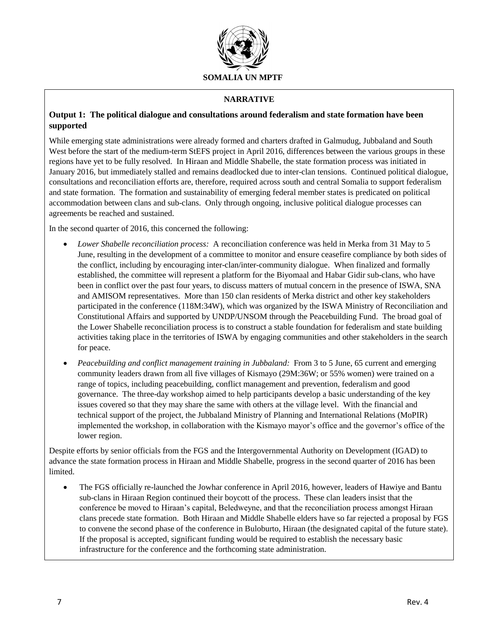

## **NARRATIVE**

## **Output 1: The political dialogue and consultations around federalism and state formation have been supported**

While emerging state administrations were already formed and charters drafted in Galmudug, Jubbaland and South West before the start of the medium-term StEFS project in April 2016, differences between the various groups in these regions have yet to be fully resolved. In Hiraan and Middle Shabelle, the state formation process was initiated in January 2016, but immediately stalled and remains deadlocked due to inter-clan tensions. Continued political dialogue, consultations and reconciliation efforts are, therefore, required across south and central Somalia to support federalism and state formation. The formation and sustainability of emerging federal member states is predicated on political accommodation between clans and sub-clans. Only through ongoing, inclusive political dialogue processes can agreements be reached and sustained.

In the second quarter of 2016, this concerned the following:

- *Lower Shabelle reconciliation process:* A reconciliation conference was held in Merka from 31 May to 5 June, resulting in the development of a committee to monitor and ensure ceasefire compliance by both sides of the conflict, including by encouraging inter-clan/inter-community dialogue. When finalized and formally established, the committee will represent a platform for the Biyomaal and Habar Gidir sub-clans, who have been in conflict over the past four years, to discuss matters of mutual concern in the presence of ISWA, SNA and AMISOM representatives. More than 150 clan residents of Merka district and other key stakeholders participated in the conference (118M:34W), which was organized by the ISWA Ministry of Reconciliation and Constitutional Affairs and supported by UNDP/UNSOM through the Peacebuilding Fund. The broad goal of the Lower Shabelle reconciliation process is to construct a stable foundation for federalism and state building activities taking place in the territories of ISWA by engaging communities and other stakeholders in the search for peace.
- *Peacebuilding and conflict management training in Jubbaland:* From 3 to 5 June, 65 current and emerging community leaders drawn from all five villages of Kismayo (29M:36W; or 55% women) were trained on a range of topics, including peacebuilding, conflict management and prevention, federalism and good governance. The three-day workshop aimed to help participants develop a basic understanding of the key issues covered so that they may share the same with others at the village level. With the financial and technical support of the project, the Jubbaland Ministry of Planning and International Relations (MoPIR) implemented the workshop, in collaboration with the Kismayo mayor's office and the governor's office of the lower region.

Despite efforts by senior officials from the FGS and the Intergovernmental Authority on Development (IGAD) to advance the state formation process in Hiraan and Middle Shabelle, progress in the second quarter of 2016 has been limited.

• The FGS officially re-launched the Jowhar conference in April 2016, however, leaders of Hawiye and Bantu sub-clans in Hiraan Region continued their boycott of the process. These clan leaders insist that the conference be moved to Hiraan's capital, Beledweyne, and that the reconciliation process amongst Hiraan clans precede state formation. Both Hiraan and Middle Shabelle elders have so far rejected a proposal by FGS to convene the second phase of the conference in Buloburto, Hiraan (the designated capital of the future state). If the proposal is accepted, significant funding would be required to establish the necessary basic infrastructure for the conference and the forthcoming state administration.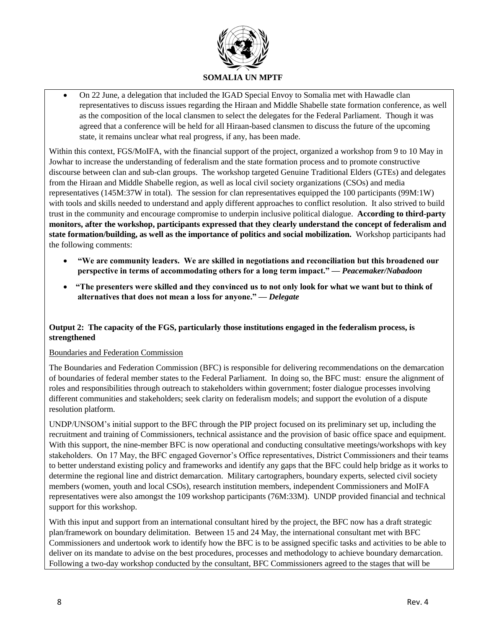

• On 22 June, a delegation that included the IGAD Special Envoy to Somalia met with Hawadle clan representatives to discuss issues regarding the Hiraan and Middle Shabelle state formation conference, as well as the composition of the local clansmen to select the delegates for the Federal Parliament. Though it was agreed that a conference will be held for all Hiraan-based clansmen to discuss the future of the upcoming state, it remains unclear what real progress, if any, has been made.

Within this context, FGS/MoIFA, with the financial support of the project, organized a workshop from 9 to 10 May in Jowhar to increase the understanding of federalism and the state formation process and to promote constructive discourse between clan and sub-clan groups. The workshop targeted Genuine Traditional Elders (GTEs) and delegates from the Hiraan and Middle Shabelle region, as well as local civil society organizations (CSOs) and media representatives (145M:37W in total). The session for clan representatives equipped the 100 participants (99M:1W) with tools and skills needed to understand and apply different approaches to conflict resolution. It also strived to build trust in the community and encourage compromise to underpin inclusive political dialogue. **According to third-party monitors, after the workshop, participants expressed that they clearly understand the concept of federalism and state formation/building, as well as the importance of politics and social mobilization.** Workshop participants had the following comments:

- **"We are community leaders. We are skilled in negotiations and reconciliation but this broadened our perspective in terms of accommodating others for a long term impact." —** *Peacemaker/Nabadoon*
- **"The presenters were skilled and they convinced us to not only look for what we want but to think of alternatives that does not mean a loss for anyone." —** *Delegate*

## **Output 2: The capacity of the FGS, particularly those institutions engaged in the federalism process, is strengthened**

## Boundaries and Federation Commission

The Boundaries and Federation Commission (BFC) is responsible for delivering recommendations on the demarcation of boundaries of federal member states to the Federal Parliament. In doing so, the BFC must: ensure the alignment of roles and responsibilities through outreach to stakeholders within government; foster dialogue processes involving different communities and stakeholders; seek clarity on federalism models; and support the evolution of a dispute resolution platform.

UNDP/UNSOM's initial support to the BFC through the PIP project focused on its preliminary set up, including the recruitment and training of Commissioners, technical assistance and the provision of basic office space and equipment. With this support, the nine-member BFC is now operational and conducting consultative meetings/workshops with key stakeholders. On 17 May, the BFC engaged Governor's Office representatives, District Commissioners and their teams to better understand existing policy and frameworks and identify any gaps that the BFC could help bridge as it works to determine the regional line and district demarcation. Military cartographers, boundary experts, selected civil society members (women, youth and local CSOs), research institution members, independent Commissioners and MoIFA representatives were also amongst the 109 workshop participants (76M:33M). UNDP provided financial and technical support for this workshop.

With this input and support from an international consultant hired by the project, the BFC now has a draft strategic plan/framework on boundary delimitation. Between 15 and 24 May, the international consultant met with BFC Commissioners and undertook work to identify how the BFC is to be assigned specific tasks and activities to be able to deliver on its mandate to advise on the best procedures, processes and methodology to achieve boundary demarcation. Following a two-day workshop conducted by the consultant, BFC Commissioners agreed to the stages that will be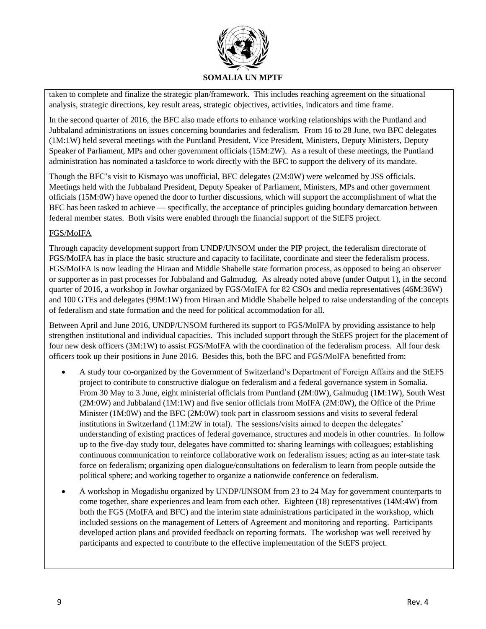

taken to complete and finalize the strategic plan/framework. This includes reaching agreement on the situational analysis, strategic directions, key result areas, strategic objectives, activities, indicators and time frame.

In the second quarter of 2016, the BFC also made efforts to enhance working relationships with the Puntland and Jubbaland administrations on issues concerning boundaries and federalism. From 16 to 28 June, two BFC delegates (1M:1W) held several meetings with the Puntland President, Vice President, Ministers, Deputy Ministers, Deputy Speaker of Parliament, MPs and other government officials (15M:2W). As a result of these meetings, the Puntland administration has nominated a taskforce to work directly with the BFC to support the delivery of its mandate.

Though the BFC's visit to Kismayo was unofficial, BFC delegates (2M:0W) were welcomed by JSS officials. Meetings held with the Jubbaland President, Deputy Speaker of Parliament, Ministers, MPs and other government officials (15M:0W) have opened the door to further discussions, which will support the accomplishment of what the BFC has been tasked to achieve — specifically, the acceptance of principles guiding boundary demarcation between federal member states. Both visits were enabled through the financial support of the StEFS project.

## FGS/MoIFA

Through capacity development support from UNDP/UNSOM under the PIP project, the federalism directorate of FGS/MoIFA has in place the basic structure and capacity to facilitate, coordinate and steer the federalism process. FGS/MoIFA is now leading the Hiraan and Middle Shabelle state formation process, as opposed to being an observer or supporter as in past processes for Jubbaland and Galmudug. As already noted above (under Output 1), in the second quarter of 2016, a workshop in Jowhar organized by FGS/MoIFA for 82 CSOs and media representatives (46M:36W) and 100 GTEs and delegates (99M:1W) from Hiraan and Middle Shabelle helped to raise understanding of the concepts of federalism and state formation and the need for political accommodation for all.

Between April and June 2016, UNDP/UNSOM furthered its support to FGS/MoIFA by providing assistance to help strengthen institutional and individual capacities. This included support through the StEFS project for the placement of four new desk officers (3M:1W) to assist FGS/MoIFA with the coordination of the federalism process. All four desk officers took up their positions in June 2016. Besides this, both the BFC and FGS/MoIFA benefitted from:

- A study tour co-organized by the Government of Switzerland's Department of Foreign Affairs and the StEFS project to contribute to constructive dialogue on federalism and a federal governance system in Somalia. From 30 May to 3 June, eight ministerial officials from Puntland (2M:0W), Galmudug (1M:1W), South West (2M:0W) and Jubbaland (1M:1W) and five senior officials from MoIFA (2M:0W), the Office of the Prime Minister (1M:0W) and the BFC (2M:0W) took part in classroom sessions and visits to several federal institutions in Switzerland (11M:2W in total). The sessions/visits aimed to deepen the delegates' understanding of existing practices of federal governance, structures and models in other countries. In follow up to the five-day study tour, delegates have committed to: sharing learnings with colleagues; establishing continuous communication to reinforce collaborative work on federalism issues; acting as an inter-state task force on federalism; organizing open dialogue/consultations on federalism to learn from people outside the political sphere; and working together to organize a nationwide conference on federalism.
- A workshop in Mogadishu organized by UNDP/UNSOM from 23 to 24 May for government counterparts to come together, share experiences and learn from each other. Eighteen (18) representatives (14M:4W) from both the FGS (MoIFA and BFC) and the interim state administrations participated in the workshop, which included sessions on the management of Letters of Agreement and monitoring and reporting. Participants developed action plans and provided feedback on reporting formats. The workshop was well received by participants and expected to contribute to the effective implementation of the StEFS project.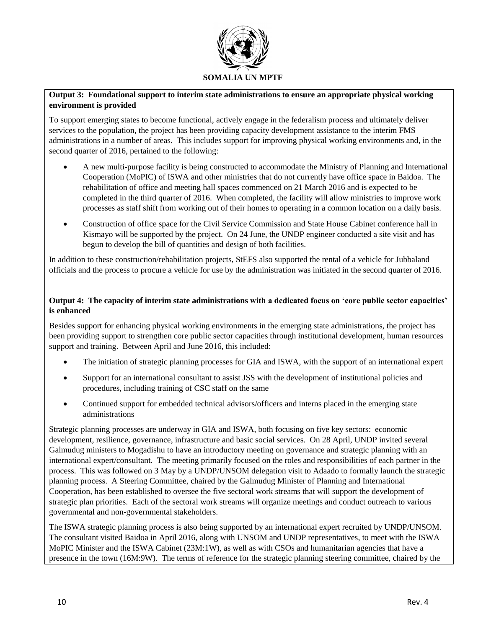

## **Output 3: Foundational support to interim state administrations to ensure an appropriate physical working environment is provided**

To support emerging states to become functional, actively engage in the federalism process and ultimately deliver services to the population, the project has been providing capacity development assistance to the interim FMS administrations in a number of areas. This includes support for improving physical working environments and, in the second quarter of 2016, pertained to the following:

- A new multi-purpose facility is being constructed to accommodate the Ministry of Planning and International Cooperation (MoPIC) of ISWA and other ministries that do not currently have office space in Baidoa. The rehabilitation of office and meeting hall spaces commenced on 21 March 2016 and is expected to be completed in the third quarter of 2016. When completed, the facility will allow ministries to improve work processes as staff shift from working out of their homes to operating in a common location on a daily basis.
- Construction of office space for the Civil Service Commission and State House Cabinet conference hall in Kismayo will be supported by the project. On 24 June, the UNDP engineer conducted a site visit and has begun to develop the bill of quantities and design of both facilities.

In addition to these construction/rehabilitation projects, StEFS also supported the rental of a vehicle for Jubbaland officials and the process to procure a vehicle for use by the administration was initiated in the second quarter of 2016.

## **Output 4: The capacity of interim state administrations with a dedicated focus on 'core public sector capacities' is enhanced**

Besides support for enhancing physical working environments in the emerging state administrations, the project has been providing support to strengthen core public sector capacities through institutional development, human resources support and training. Between April and June 2016, this included:

- The initiation of strategic planning processes for GIA and ISWA, with the support of an international expert
- Support for an international consultant to assist JSS with the development of institutional policies and procedures, including training of CSC staff on the same
- Continued support for embedded technical advisors/officers and interns placed in the emerging state administrations

Strategic planning processes are underway in GIA and ISWA, both focusing on five key sectors: economic development, resilience, governance, infrastructure and basic social services. On 28 April, UNDP invited several Galmudug ministers to Mogadishu to have an introductory meeting on governance and strategic planning with an international expert/consultant. The meeting primarily focused on the roles and responsibilities of each partner in the process. This was followed on 3 May by a UNDP/UNSOM delegation visit to Adaado to formally launch the strategic planning process. A Steering Committee, chaired by the Galmudug Minister of Planning and International Cooperation, has been established to oversee the five sectoral work streams that will support the development of strategic plan priorities. Each of the sectoral work streams will organize meetings and conduct outreach to various governmental and non-governmental stakeholders.

The ISWA strategic planning process is also being supported by an international expert recruited by UNDP/UNSOM. The consultant visited Baidoa in April 2016, along with UNSOM and UNDP representatives, to meet with the ISWA MoPIC Minister and the ISWA Cabinet (23M:1W), as well as with CSOs and humanitarian agencies that have a presence in the town (16M:9W). The terms of reference for the strategic planning steering committee, chaired by the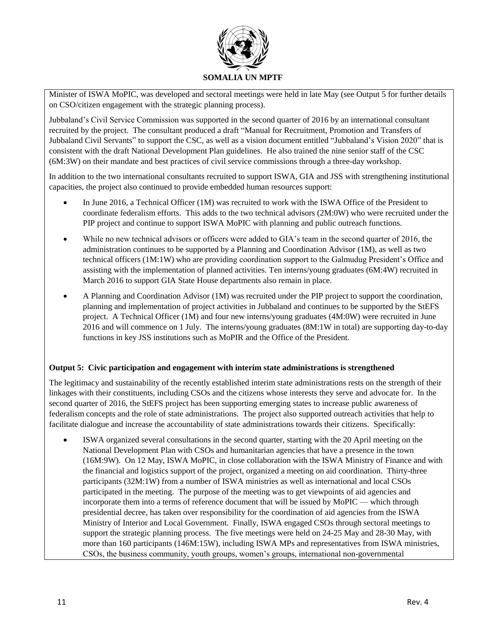

Minister of ISWA MoPIC, was developed and sectoral meetings were held in late May (see Output 5 for further details on CSO/citizen engagement with the strategic planning process).

Jubbaland's Civil Service Commission was supported in the second quarter of 2016 by an international consultant recruited by the project. The consultant produced a draft "Manual for Recruitment, Promotion and Transfers of Jubbaland Civil Servants" to support the CSC, as well as a vision document entitled "Jubbaland's Vision 2020" that is consistent with the draft National Development Plan guidelines. He also trained the nine senior staff of the CSC (6M:3W) on their mandate and best practices of civil service commissions through a three-day workshop.

In addition to the two international consultants recruited to support ISWA, GIA and JSS with strengthening institutional capacities, the project also continued to provide embedded human resources support:

- In June 2016, a Technical Officer (1M) was recruited to work with the ISWA Office of the President to coordinate federalism efforts. This adds to the two technical advisors (2M:0W) who were recruited under the PIP project and continue to support ISWA MoPIC with planning and public outreach functions.
- While no new technical advisors or officers were added to GIA's team in the second quarter of 2016, the administration continues to be supported by a Planning and Coordination Advisor (1M), as well as two technical officers (1M:1W) who are providing coordination support to the Galmudug President's Office and assisting with the implementation of planned activities. Ten interns/young graduates (6M:4W) recruited in March 2016 to support GIA State House departments also remain in place.
- A Planning and Coordination Advisor (1M) was recruited under the PIP project to support the coordination, planning and implementation of project activities in Jubbaland and continues to be supported by the StEFS project. A Technical Officer (1M) and four new interns/young graduates (4M:0W) were recruited in June 2016 and will commence on 1 July. The interns/young graduates (8M:1W in total) are supporting day-to-day functions in key JSS institutions such as MoPIR and the Office of the President.

## **Output 5: Civic participation and engagement with interim state administrations is strengthened**

The legitimacy and sustainability of the recently established interim state administrations rests on the strength of their linkages with their constituents, including CSOs and the citizens whose interests they serve and advocate for. In the second quarter of 2016, the StEFS project has been supporting emerging states to increase public awareness of federalism concepts and the role of state administrations. The project also supported outreach activities that help to facilitate dialogue and increase the accountability of state administrations towards their citizens. Specifically:

• ISWA organized several consultations in the second quarter, starting with the 20 April meeting on the National Development Plan with CSOs and humanitarian agencies that have a presence in the town (16M:9W). On 12 May, ISWA MoPIC, in close collaboration with the ISWA Ministry of Finance and with the financial and logistics support of the project, organized a meeting on aid coordination. Thirty-three participants (32M:1W) from a number of ISWA ministries as well as international and local CSOs participated in the meeting. The purpose of the meeting was to get viewpoints of aid agencies and incorporate them into a terms of reference document that will be issued by MoPIC — which through presidential decree, has taken over responsibility for the coordination of aid agencies from the ISWA Ministry of Interior and Local Government. Finally, ISWA engaged CSOs through sectoral meetings to support the strategic planning process. The five meetings were held on 24-25 May and 28-30 May, with more than 160 participants (146M:15W), including ISWA MPs and representatives from ISWA ministries, CSOs, the business community, youth groups, women's groups, international non-governmental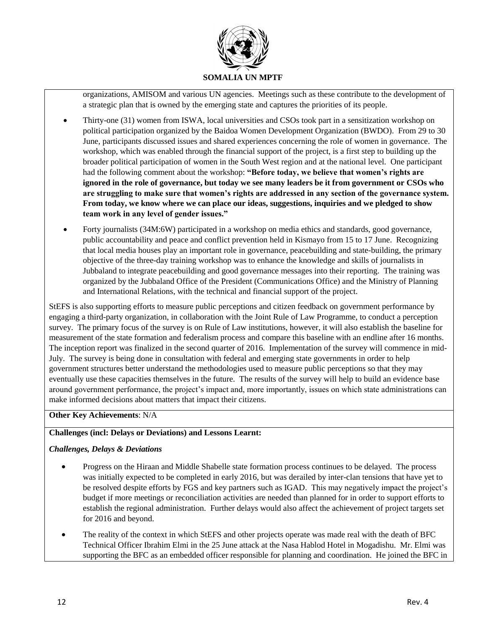

organizations, AMISOM and various UN agencies. Meetings such as these contribute to the development of a strategic plan that is owned by the emerging state and captures the priorities of its people.

- Thirty-one (31) women from ISWA, local universities and CSOs took part in a sensitization workshop on political participation organized by the Baidoa Women Development Organization (BWDO). From 29 to 30 June, participants discussed issues and shared experiences concerning the role of women in governance. The workshop, which was enabled through the financial support of the project, is a first step to building up the broader political participation of women in the South West region and at the national level. One participant had the following comment about the workshop: **"Before today, we believe that women's rights are ignored in the role of governance, but today we see many leaders be it from government or CSOs who are struggling to make sure that women's rights are addressed in any section of the governance system. From today, we know where we can place our ideas, suggestions, inquiries and we pledged to show team work in any level of gender issues."**
- Forty journalists (34M:6W) participated in a workshop on media ethics and standards, good governance, public accountability and peace and conflict prevention held in Kismayo from 15 to 17 June. Recognizing that local media houses play an important role in governance, peacebuilding and state-building, the primary objective of the three-day training workshop was to enhance the knowledge and skills of journalists in Jubbaland to integrate peacebuilding and good governance messages into their reporting. The training was organized by the Jubbaland Office of the President (Communications Office) and the Ministry of Planning and International Relations, with the technical and financial support of the project.

StEFS is also supporting efforts to measure public perceptions and citizen feedback on government performance by engaging a third-party organization, in collaboration with the Joint Rule of Law Programme, to conduct a perception survey. The primary focus of the survey is on Rule of Law institutions, however, it will also establish the baseline for measurement of the state formation and federalism process and compare this baseline with an endline after 16 months. The inception report was finalized in the second quarter of 2016. Implementation of the survey will commence in mid-July. The survey is being done in consultation with federal and emerging state governments in order to help government structures better understand the methodologies used to measure public perceptions so that they may eventually use these capacities themselves in the future. The results of the survey will help to build an evidence base around government performance, the project's impact and, more importantly, issues on which state administrations can make informed decisions about matters that impact their citizens.

## **Other Key Achievements**: N/A

## **Challenges (incl: Delays or Deviations) and Lessons Learnt:**

## *Challenges, Delays & Deviations*

- Progress on the Hiraan and Middle Shabelle state formation process continues to be delayed. The process was initially expected to be completed in early 2016, but was derailed by inter-clan tensions that have yet to be resolved despite efforts by FGS and key partners such as IGAD. This may negatively impact the project's budget if more meetings or reconciliation activities are needed than planned for in order to support efforts to establish the regional administration. Further delays would also affect the achievement of project targets set for 2016 and beyond.
- The reality of the context in which StEFS and other projects operate was made real with the death of BFC Technical Officer Ibrahim Elmi in the 25 June attack at the Nasa Hablod Hotel in Mogadishu. Mr. Elmi was supporting the BFC as an embedded officer responsible for planning and coordination. He joined the BFC in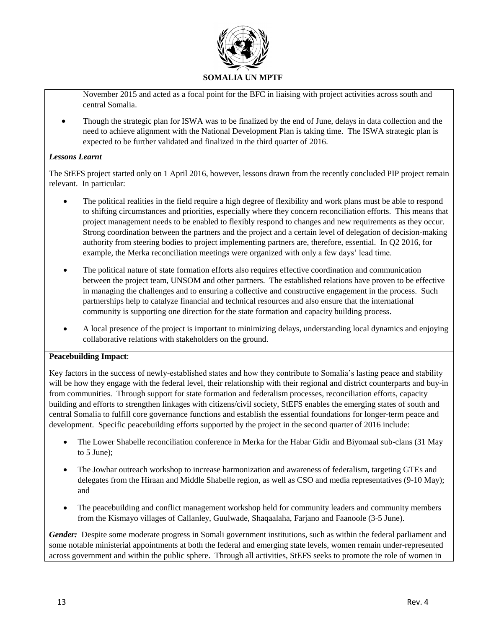

November 2015 and acted as a focal point for the BFC in liaising with project activities across south and central Somalia.

• Though the strategic plan for ISWA was to be finalized by the end of June, delays in data collection and the need to achieve alignment with the National Development Plan is taking time. The ISWA strategic plan is expected to be further validated and finalized in the third quarter of 2016.

## *Lessons Learnt*

The StEFS project started only on 1 April 2016, however, lessons drawn from the recently concluded PIP project remain relevant. In particular:

- The political realities in the field require a high degree of flexibility and work plans must be able to respond to shifting circumstances and priorities, especially where they concern reconciliation efforts. This means that project management needs to be enabled to flexibly respond to changes and new requirements as they occur. Strong coordination between the partners and the project and a certain level of delegation of decision-making authority from steering bodies to project implementing partners are, therefore, essential. In Q2 2016, for example, the Merka reconciliation meetings were organized with only a few days' lead time.
- The political nature of state formation efforts also requires effective coordination and communication between the project team, UNSOM and other partners. The established relations have proven to be effective in managing the challenges and to ensuring a collective and constructive engagement in the process. Such partnerships help to catalyze financial and technical resources and also ensure that the international community is supporting one direction for the state formation and capacity building process.
- A local presence of the project is important to minimizing delays, understanding local dynamics and enjoying collaborative relations with stakeholders on the ground.

## **Peacebuilding Impact**:

Key factors in the success of newly-established states and how they contribute to Somalia's lasting peace and stability will be how they engage with the federal level, their relationship with their regional and district counterparts and buy-in from communities. Through support for state formation and federalism processes, reconciliation efforts, capacity building and efforts to strengthen linkages with citizens/civil society, StEFS enables the emerging states of south and central Somalia to fulfill core governance functions and establish the essential foundations for longer-term peace and development. Specific peacebuilding efforts supported by the project in the second quarter of 2016 include:

- The Lower Shabelle reconciliation conference in Merka for the Habar Gidir and Biyomaal sub-clans (31 May to 5 June);
- The Jowhar outreach workshop to increase harmonization and awareness of federalism, targeting GTEs and delegates from the Hiraan and Middle Shabelle region, as well as CSO and media representatives (9-10 May); and
- The peacebuilding and conflict management workshop held for community leaders and community members from the Kismayo villages of Callanley, Guulwade, Shaqaalaha, Farjano and Faanoole (3-5 June).

*Gender:* Despite some moderate progress in Somali government institutions, such as within the federal parliament and some notable ministerial appointments at both the federal and emerging state levels, women remain under-represented across government and within the public sphere. Through all activities, StEFS seeks to promote the role of women in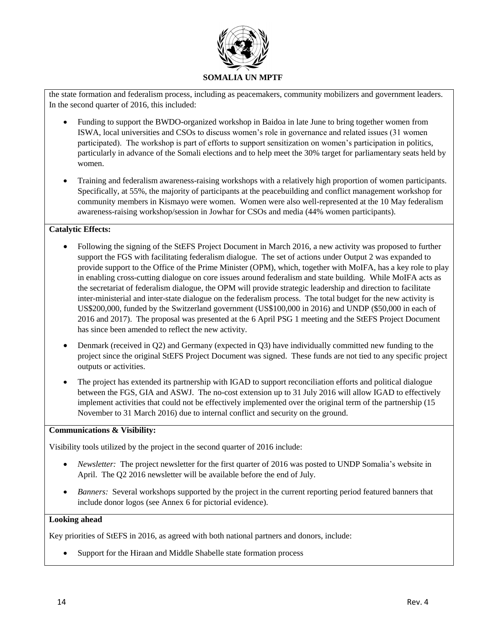

the state formation and federalism process, including as peacemakers, community mobilizers and government leaders. In the second quarter of 2016, this included:

- Funding to support the BWDO-organized workshop in Baidoa in late June to bring together women from ISWA, local universities and CSOs to discuss women's role in governance and related issues (31 women participated). The workshop is part of efforts to support sensitization on women's participation in politics, particularly in advance of the Somali elections and to help meet the 30% target for parliamentary seats held by women.
- Training and federalism awareness-raising workshops with a relatively high proportion of women participants. Specifically, at 55%, the majority of participants at the peacebuilding and conflict management workshop for community members in Kismayo were women. Women were also well-represented at the 10 May federalism awareness-raising workshop/session in Jowhar for CSOs and media (44% women participants).

## **Catalytic Effects:**

- Following the signing of the StEFS Project Document in March 2016, a new activity was proposed to further support the FGS with facilitating federalism dialogue. The set of actions under Output 2 was expanded to provide support to the Office of the Prime Minister (OPM), which, together with MoIFA, has a key role to play in enabling cross-cutting dialogue on core issues around federalism and state building. While MoIFA acts as the secretariat of federalism dialogue, the OPM will provide strategic leadership and direction to facilitate inter-ministerial and inter-state dialogue on the federalism process. The total budget for the new activity is US\$200,000, funded by the Switzerland government (US\$100,000 in 2016) and UNDP (\$50,000 in each of 2016 and 2017). The proposal was presented at the 6 April PSG 1 meeting and the StEFS Project Document has since been amended to reflect the new activity.
- Denmark (received in Q2) and Germany (expected in Q3) have individually committed new funding to the project since the original StEFS Project Document was signed. These funds are not tied to any specific project outputs or activities.
- The project has extended its partnership with IGAD to support reconciliation efforts and political dialogue between the FGS, GIA and ASWJ. The no-cost extension up to 31 July 2016 will allow IGAD to effectively implement activities that could not be effectively implemented over the original term of the partnership (15 November to 31 March 2016) due to internal conflict and security on the ground.

## **Communications & Visibility:**

Visibility tools utilized by the project in the second quarter of 2016 include:

- *Newsletter:* The project newsletter for the first quarter of 2016 was posted to UNDP Somalia's website in April. The Q2 2016 newsletter will be available before the end of July.
- *Banners:* Several workshops supported by the project in the current reporting period featured banners that include donor logos (see Annex 6 for pictorial evidence).

## **Looking ahead**

Key priorities of StEFS in 2016, as agreed with both national partners and donors, include:

• Support for the Hiraan and Middle Shabelle state formation process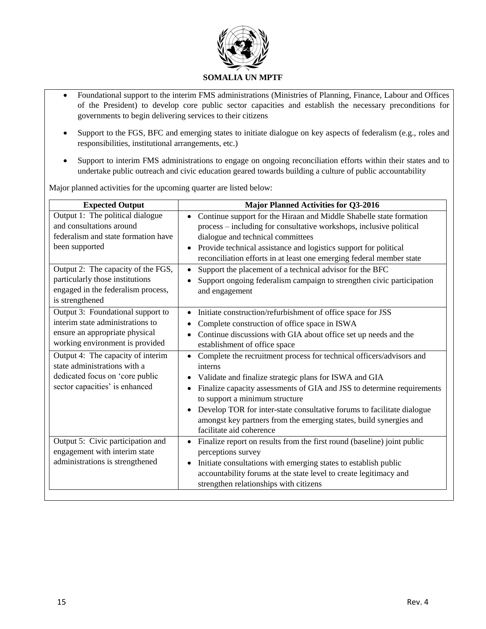

- Foundational support to the interim FMS administrations (Ministries of Planning, Finance, Labour and Offices of the President) to develop core public sector capacities and establish the necessary preconditions for governments to begin delivering services to their citizens
- Support to the FGS, BFC and emerging states to initiate dialogue on key aspects of federalism (e.g., roles and responsibilities, institutional arrangements, etc.)
- Support to interim FMS administrations to engage on ongoing reconciliation efforts within their states and to undertake public outreach and civic education geared towards building a culture of public accountability

Major planned activities for the upcoming quarter are listed below:

| <b>Expected Output</b>              | <b>Major Planned Activities for Q3-2016</b>                                          |
|-------------------------------------|--------------------------------------------------------------------------------------|
| Output 1: The political dialogue    | Continue support for the Hiraan and Middle Shabelle state formation                  |
| and consultations around            | process – including for consultative workshops, inclusive political                  |
| federalism and state formation have | dialogue and technical committees                                                    |
| been supported                      | Provide technical assistance and logistics support for political                     |
|                                     | reconciliation efforts in at least one emerging federal member state                 |
| Output 2: The capacity of the FGS,  | Support the placement of a technical advisor for the BFC<br>$\bullet$                |
| particularly those institutions     | Support ongoing federalism campaign to strengthen civic participation                |
| engaged in the federalism process,  | and engagement                                                                       |
| is strengthened                     |                                                                                      |
| Output 3: Foundational support to   | Initiate construction/refurbishment of office space for JSS                          |
| interim state administrations to    | Complete construction of office space in ISWA                                        |
| ensure an appropriate physical      | Continue discussions with GIA about office set up needs and the                      |
| working environment is provided     | establishment of office space                                                        |
| Output 4: The capacity of interim   | Complete the recruitment process for technical officers/advisors and<br>$\bullet$    |
| state administrations with a        | interns                                                                              |
| dedicated focus on 'core public     | Validate and finalize strategic plans for ISWA and GIA                               |
| sector capacities' is enhanced      | Finalize capacity assessments of GIA and JSS to determine requirements               |
|                                     | to support a minimum structure                                                       |
|                                     | Develop TOR for inter-state consultative forums to facilitate dialogue               |
|                                     | amongst key partners from the emerging states, build synergies and                   |
|                                     | facilitate aid coherence                                                             |
| Output 5: Civic participation and   | Finalize report on results from the first round (baseline) joint public<br>$\bullet$ |
| engagement with interim state       | perceptions survey                                                                   |
| administrations is strengthened     | Initiate consultations with emerging states to establish public                      |
|                                     | accountability forums at the state level to create legitimacy and                    |
|                                     | strengthen relationships with citizens                                               |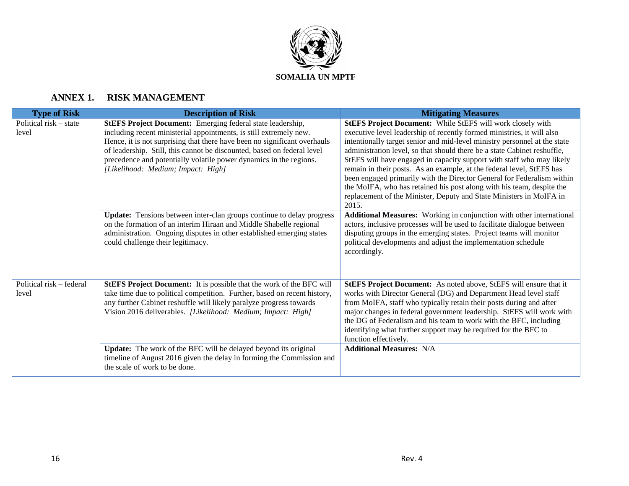

## **ANNEX 1. RISK MANAGEMENT**

| <b>Type of Risk</b>               | <b>Description of Risk</b>                                                                                                                                                                                                                                                                                                                                                                                  | <b>Mitigating Measures</b>                                                                                                                                                                                                                                                                                                                                                                                                                                                                                                                                                                                                                                                         |
|-----------------------------------|-------------------------------------------------------------------------------------------------------------------------------------------------------------------------------------------------------------------------------------------------------------------------------------------------------------------------------------------------------------------------------------------------------------|------------------------------------------------------------------------------------------------------------------------------------------------------------------------------------------------------------------------------------------------------------------------------------------------------------------------------------------------------------------------------------------------------------------------------------------------------------------------------------------------------------------------------------------------------------------------------------------------------------------------------------------------------------------------------------|
| Political risk – state<br>level   | <b>StEFS Project Document:</b> Emerging federal state leadership,<br>including recent ministerial appointments, is still extremely new.<br>Hence, it is not surprising that there have been no significant overhauls<br>of leadership. Still, this cannot be discounted, based on federal level<br>precedence and potentially volatile power dynamics in the regions.<br>[Likelihood: Medium; Impact: High] | StEFS Project Document: While StEFS will work closely with<br>executive level leadership of recently formed ministries, it will also<br>intentionally target senior and mid-level ministry personnel at the state<br>administration level, so that should there be a state Cabinet reshuffle,<br>StEFS will have engaged in capacity support with staff who may likely<br>remain in their posts. As an example, at the federal level, StEFS has<br>been engaged primarily with the Director General for Federalism within<br>the MoIFA, who has retained his post along with his team, despite the<br>replacement of the Minister, Deputy and State Ministers in MoIFA in<br>2015. |
|                                   | Update: Tensions between inter-clan groups continue to delay progress<br>on the formation of an interim Hiraan and Middle Shabelle regional<br>administration. Ongoing disputes in other established emerging states<br>could challenge their legitimacy.                                                                                                                                                   | Additional Measures: Working in conjunction with other international<br>actors, inclusive processes will be used to facilitate dialogue between<br>disputing groups in the emerging states. Project teams will monitor<br>political developments and adjust the implementation schedule<br>accordingly.                                                                                                                                                                                                                                                                                                                                                                            |
| Political risk - federal<br>level | StEFS Project Document: It is possible that the work of the BFC will<br>take time due to political competition. Further, based on recent history,<br>any further Cabinet reshuffle will likely paralyze progress towards<br>Vision 2016 deliverables. [Likelihood: Medium; Impact: High]                                                                                                                    | StEFS Project Document: As noted above, StEFS will ensure that it<br>works with Director General (DG) and Department Head level staff<br>from MoIFA, staff who typically retain their posts during and after<br>major changes in federal government leadership. StEFS will work with<br>the DG of Federalism and his team to work with the BFC, including<br>identifying what further support may be required for the BFC to<br>function effectively.                                                                                                                                                                                                                              |
|                                   | Update: The work of the BFC will be delayed beyond its original<br>timeline of August 2016 given the delay in forming the Commission and<br>the scale of work to be done.                                                                                                                                                                                                                                   | <b>Additional Measures: N/A</b>                                                                                                                                                                                                                                                                                                                                                                                                                                                                                                                                                                                                                                                    |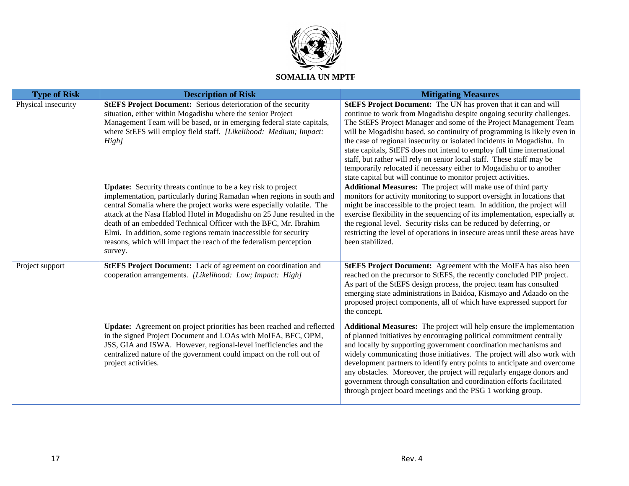

| <b>Type of Risk</b> | <b>Description of Risk</b>                                                                                                                                                                                                                                                                                                                                                                                                                                                                                                | <b>Mitigating Measures</b>                                                                                                                                                                                                                                                                                                                                                                                                                                                                                                                                                              |
|---------------------|---------------------------------------------------------------------------------------------------------------------------------------------------------------------------------------------------------------------------------------------------------------------------------------------------------------------------------------------------------------------------------------------------------------------------------------------------------------------------------------------------------------------------|-----------------------------------------------------------------------------------------------------------------------------------------------------------------------------------------------------------------------------------------------------------------------------------------------------------------------------------------------------------------------------------------------------------------------------------------------------------------------------------------------------------------------------------------------------------------------------------------|
| Physical insecurity | <b>StEFS Project Document:</b> Serious deterioration of the security<br>situation, either within Mogadishu where the senior Project<br>Management Team will be based, or in emerging federal state capitals,                                                                                                                                                                                                                                                                                                              | StEFS Project Document: The UN has proven that it can and will<br>continue to work from Mogadishu despite ongoing security challenges.<br>The StEFS Project Manager and some of the Project Management Team                                                                                                                                                                                                                                                                                                                                                                             |
|                     | where StEFS will employ field staff. [Likelihood: Medium; Impact:<br>High]                                                                                                                                                                                                                                                                                                                                                                                                                                                | will be Mogadishu based, so continuity of programming is likely even in<br>the case of regional insecurity or isolated incidents in Mogadishu. In<br>state capitals, StEFS does not intend to employ full time international<br>staff, but rather will rely on senior local staff. These staff may be<br>temporarily relocated if necessary either to Mogadishu or to another<br>state capital but will continue to monitor project activities.                                                                                                                                         |
|                     | <b>Update:</b> Security threats continue to be a key risk to project<br>implementation, particularly during Ramadan when regions in south and<br>central Somalia where the project works were especially volatile. The<br>attack at the Nasa Hablod Hotel in Mogadishu on 25 June resulted in the<br>death of an embedded Technical Officer with the BFC, Mr. Ibrahim<br>Elmi. In addition, some regions remain inaccessible for security<br>reasons, which will impact the reach of the federalism perception<br>survey. | Additional Measures: The project will make use of third party<br>monitors for activity monitoring to support oversight in locations that<br>might be inaccessible to the project team. In addition, the project will<br>exercise flexibility in the sequencing of its implementation, especially at<br>the regional level. Security risks can be reduced by deferring, or<br>restricting the level of operations in insecure areas until these areas have<br>been stabilized.                                                                                                           |
| Project support     | <b>StEFS Project Document:</b> Lack of agreement on coordination and<br>cooperation arrangements. [Likelihood: Low; Impact: High]                                                                                                                                                                                                                                                                                                                                                                                         | StEFS Project Document: Agreement with the MoIFA has also been<br>reached on the precursor to StEFS, the recently concluded PIP project.<br>As part of the StEFS design process, the project team has consulted<br>emerging state administrations in Baidoa, Kismayo and Adaado on the<br>proposed project components, all of which have expressed support for<br>the concept.                                                                                                                                                                                                          |
|                     | Update: Agreement on project priorities has been reached and reflected<br>in the signed Project Document and LOAs with MoIFA, BFC, OPM,<br>JSS, GIA and ISWA. However, regional-level inefficiencies and the<br>centralized nature of the government could impact on the roll out of<br>project activities.                                                                                                                                                                                                               | Additional Measures: The project will help ensure the implementation<br>of planned initiatives by encouraging political commitment centrally<br>and locally by supporting government coordination mechanisms and<br>widely communicating those initiatives. The project will also work with<br>development partners to identify entry points to anticipate and overcome<br>any obstacles. Moreover, the project will regularly engage donors and<br>government through consultation and coordination efforts facilitated<br>through project board meetings and the PSG 1 working group. |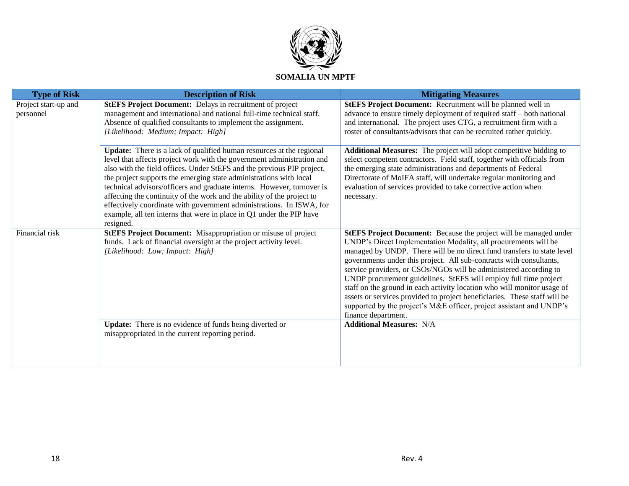

| <b>Description of Risk</b>                                           | <b>Mitigating Measures</b>                                                                                                                                                                                                                                                                                                                                                                                                                                                                                                                                                                                                                                                                                                                                                                                                                                                                                                                                 |
|----------------------------------------------------------------------|------------------------------------------------------------------------------------------------------------------------------------------------------------------------------------------------------------------------------------------------------------------------------------------------------------------------------------------------------------------------------------------------------------------------------------------------------------------------------------------------------------------------------------------------------------------------------------------------------------------------------------------------------------------------------------------------------------------------------------------------------------------------------------------------------------------------------------------------------------------------------------------------------------------------------------------------------------|
| <b>StEFS Project Document:</b> Delays in recruitment of project      | <b>StEFS Project Document:</b> Recruitment will be planned well in                                                                                                                                                                                                                                                                                                                                                                                                                                                                                                                                                                                                                                                                                                                                                                                                                                                                                         |
|                                                                      | advance to ensure timely deployment of required staff - both national                                                                                                                                                                                                                                                                                                                                                                                                                                                                                                                                                                                                                                                                                                                                                                                                                                                                                      |
|                                                                      | and international. The project uses CTG, a recruitment firm with a                                                                                                                                                                                                                                                                                                                                                                                                                                                                                                                                                                                                                                                                                                                                                                                                                                                                                         |
|                                                                      | roster of consultants/advisors that can be recruited rather quickly.                                                                                                                                                                                                                                                                                                                                                                                                                                                                                                                                                                                                                                                                                                                                                                                                                                                                                       |
| Update: There is a lack of qualified human resources at the regional | Additional Measures: The project will adopt competitive bidding to                                                                                                                                                                                                                                                                                                                                                                                                                                                                                                                                                                                                                                                                                                                                                                                                                                                                                         |
|                                                                      | select competent contractors. Field staff, together with officials from                                                                                                                                                                                                                                                                                                                                                                                                                                                                                                                                                                                                                                                                                                                                                                                                                                                                                    |
|                                                                      | the emerging state administrations and departments of Federal                                                                                                                                                                                                                                                                                                                                                                                                                                                                                                                                                                                                                                                                                                                                                                                                                                                                                              |
|                                                                      | Directorate of MoIFA staff, will undertake regular monitoring and                                                                                                                                                                                                                                                                                                                                                                                                                                                                                                                                                                                                                                                                                                                                                                                                                                                                                          |
|                                                                      | evaluation of services provided to take corrective action when                                                                                                                                                                                                                                                                                                                                                                                                                                                                                                                                                                                                                                                                                                                                                                                                                                                                                             |
|                                                                      | necessary.                                                                                                                                                                                                                                                                                                                                                                                                                                                                                                                                                                                                                                                                                                                                                                                                                                                                                                                                                 |
|                                                                      |                                                                                                                                                                                                                                                                                                                                                                                                                                                                                                                                                                                                                                                                                                                                                                                                                                                                                                                                                            |
|                                                                      |                                                                                                                                                                                                                                                                                                                                                                                                                                                                                                                                                                                                                                                                                                                                                                                                                                                                                                                                                            |
|                                                                      | StEFS Project Document: Because the project will be managed under                                                                                                                                                                                                                                                                                                                                                                                                                                                                                                                                                                                                                                                                                                                                                                                                                                                                                          |
|                                                                      | UNDP's Direct Implementation Modality, all procurements will be                                                                                                                                                                                                                                                                                                                                                                                                                                                                                                                                                                                                                                                                                                                                                                                                                                                                                            |
|                                                                      | managed by UNDP. There will be no direct fund transfers to state level                                                                                                                                                                                                                                                                                                                                                                                                                                                                                                                                                                                                                                                                                                                                                                                                                                                                                     |
|                                                                      | governments under this project. All sub-contracts with consultants,                                                                                                                                                                                                                                                                                                                                                                                                                                                                                                                                                                                                                                                                                                                                                                                                                                                                                        |
|                                                                      | service providers, or CSOs/NGOs will be administered according to                                                                                                                                                                                                                                                                                                                                                                                                                                                                                                                                                                                                                                                                                                                                                                                                                                                                                          |
|                                                                      | UNDP procurement guidelines. StEFS will employ full time project                                                                                                                                                                                                                                                                                                                                                                                                                                                                                                                                                                                                                                                                                                                                                                                                                                                                                           |
|                                                                      | staff on the ground in each activity location who will monitor usage of                                                                                                                                                                                                                                                                                                                                                                                                                                                                                                                                                                                                                                                                                                                                                                                                                                                                                    |
|                                                                      | assets or services provided to project beneficiaries. These staff will be                                                                                                                                                                                                                                                                                                                                                                                                                                                                                                                                                                                                                                                                                                                                                                                                                                                                                  |
|                                                                      | supported by the project's M&E officer, project assistant and UNDP's                                                                                                                                                                                                                                                                                                                                                                                                                                                                                                                                                                                                                                                                                                                                                                                                                                                                                       |
|                                                                      | finance department.                                                                                                                                                                                                                                                                                                                                                                                                                                                                                                                                                                                                                                                                                                                                                                                                                                                                                                                                        |
| Update: There is no evidence of funds being diverted or              | <b>Additional Measures: N/A</b>                                                                                                                                                                                                                                                                                                                                                                                                                                                                                                                                                                                                                                                                                                                                                                                                                                                                                                                            |
|                                                                      |                                                                                                                                                                                                                                                                                                                                                                                                                                                                                                                                                                                                                                                                                                                                                                                                                                                                                                                                                            |
|                                                                      |                                                                                                                                                                                                                                                                                                                                                                                                                                                                                                                                                                                                                                                                                                                                                                                                                                                                                                                                                            |
|                                                                      |                                                                                                                                                                                                                                                                                                                                                                                                                                                                                                                                                                                                                                                                                                                                                                                                                                                                                                                                                            |
|                                                                      | management and international and national full-time technical staff.<br>Absence of qualified consultants to implement the assignment.<br>[Likelihood: Medium; Impact: High]<br>level that affects project work with the government administration and<br>also with the field offices. Under StEFS and the previous PIP project,<br>the project supports the emerging state administrations with local<br>technical advisors/officers and graduate interns. However, turnover is<br>affecting the continuity of the work and the ability of the project to<br>effectively coordinate with government administrations. In ISWA, for<br>example, all ten interns that were in place in Q1 under the PIP have<br>resigned.<br><b>StEFS Project Document:</b> Misappropriation or misuse of project<br>funds. Lack of financial oversight at the project activity level.<br>[Likelihood: Low; Impact: High]<br>misappropriated in the current reporting period. |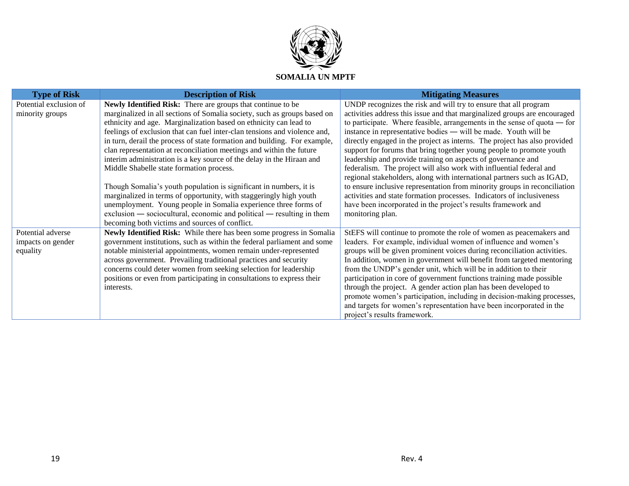

| <b>Type of Risk</b>    | <b>Description of Risk</b>                                                | <b>Mitigating Measures</b>                                                 |
|------------------------|---------------------------------------------------------------------------|----------------------------------------------------------------------------|
| Potential exclusion of | Newly Identified Risk: There are groups that continue to be               | UNDP recognizes the risk and will try to ensure that all program           |
| minority groups        | marginalized in all sections of Somalia society, such as groups based on  | activities address this issue and that marginalized groups are encouraged  |
|                        | ethnicity and age. Marginalization based on ethnicity can lead to         | to participate. Where feasible, arrangements in the sense of quota $-$ for |
|                        | feelings of exclusion that can fuel inter-clan tensions and violence and, | instance in representative bodies — will be made. Youth will be            |
|                        | in turn, derail the process of state formation and building. For example, | directly engaged in the project as interns. The project has also provided  |
|                        | clan representation at reconciliation meetings and within the future      | support for forums that bring together young people to promote youth       |
|                        | interim administration is a key source of the delay in the Hiraan and     | leadership and provide training on aspects of governance and               |
|                        | Middle Shabelle state formation process.                                  | federalism. The project will also work with influential federal and        |
|                        |                                                                           | regional stakeholders, along with international partners such as IGAD,     |
|                        | Though Somalia's youth population is significant in numbers, it is        | to ensure inclusive representation from minority groups in reconciliation  |
|                        | marginalized in terms of opportunity, with staggeringly high youth        | activities and state formation processes. Indicators of inclusiveness      |
|                        | unemployment. Young people in Somalia experience three forms of           | have been incorporated in the project's results framework and              |
|                        | exclusion — sociocultural, economic and political — resulting in them     | monitoring plan.                                                           |
|                        | becoming both victims and sources of conflict.                            |                                                                            |
| Potential adverse      | Newly Identified Risk: While there has been some progress in Somalia      | StEFS will continue to promote the role of women as peacemakers and        |
| impacts on gender      | government institutions, such as within the federal parliament and some   | leaders. For example, individual women of influence and women's            |
| equality               | notable ministerial appointments, women remain under-represented          | groups will be given prominent voices during reconciliation activities.    |
|                        | across government. Prevailing traditional practices and security          | In addition, women in government will benefit from targeted mentoring      |
|                        | concerns could deter women from seeking selection for leadership          | from the UNDP's gender unit, which will be in addition to their            |
|                        | positions or even from participating in consultations to express their    | participation in core of government functions training made possible       |
|                        | interests.                                                                | through the project. A gender action plan has been developed to            |
|                        |                                                                           | promote women's participation, including in decision-making processes,     |
|                        |                                                                           | and targets for women's representation have been incorporated in the       |
|                        |                                                                           | project's results framework.                                               |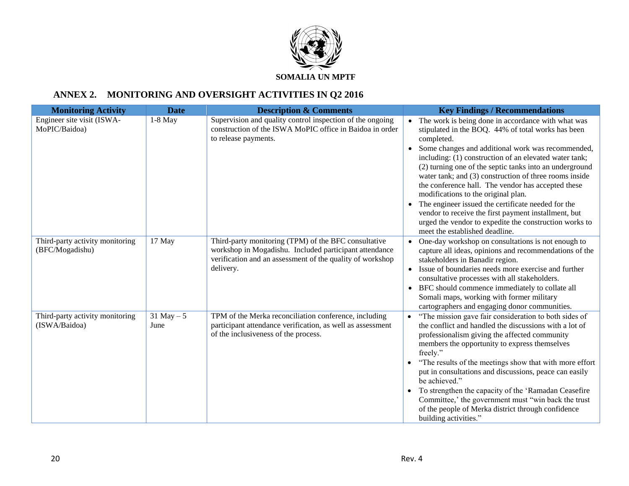

# **ANNEX 2. MONITORING AND OVERSIGHT ACTIVITIES IN Q2 2016**

| <b>Monitoring Activity</b>                         | <b>Date</b>           | <b>Description &amp; Comments</b>                                                                                                                                                        | <b>Key Findings / Recommendations</b>                                                                                                                                                                                                                                                                                                                                                                                                                                                                                                                                                                                                                                   |
|----------------------------------------------------|-----------------------|------------------------------------------------------------------------------------------------------------------------------------------------------------------------------------------|-------------------------------------------------------------------------------------------------------------------------------------------------------------------------------------------------------------------------------------------------------------------------------------------------------------------------------------------------------------------------------------------------------------------------------------------------------------------------------------------------------------------------------------------------------------------------------------------------------------------------------------------------------------------------|
| Engineer site visit (ISWA-<br>MoPIC/Baidoa)        | $1-8$ May             | Supervision and quality control inspection of the ongoing<br>construction of the ISWA MoPIC office in Baidoa in order<br>to release payments.                                            | • The work is being done in accordance with what was<br>stipulated in the BOQ. 44% of total works has been<br>completed.<br>• Some changes and additional work was recommended,<br>including: (1) construction of an elevated water tank;<br>(2) turning one of the septic tanks into an underground<br>water tank; and (3) construction of three rooms inside<br>the conference hall. The vendor has accepted these<br>modifications to the original plan.<br>• The engineer issued the certificate needed for the<br>vendor to receive the first payment installment, but<br>urged the vendor to expedite the construction works to<br>meet the established deadline. |
| Third-party activity monitoring<br>(BFC/Mogadishu) | 17 May                | Third-party monitoring (TPM) of the BFC consultative<br>workshop in Mogadishu. Included participant attendance<br>verification and an assessment of the quality of workshop<br>delivery. | • One-day workshop on consultations is not enough to<br>capture all ideas, opinions and recommendations of the<br>stakeholders in Banadir region.<br>• Issue of boundaries needs more exercise and further<br>consultative processes with all stakeholders.<br>• BFC should commence immediately to collate all<br>Somali maps, working with former military<br>cartographers and engaging donor communities.                                                                                                                                                                                                                                                           |
| Third-party activity monitoring<br>(ISWA/Baidoa)   | $31$ May $-5$<br>June | TPM of the Merka reconciliation conference, including<br>participant attendance verification, as well as assessment<br>of the inclusiveness of the process.                              | • "The mission gave fair consideration to both sides of<br>the conflict and handled the discussions with a lot of<br>professionalism giving the affected community<br>members the opportunity to express themselves<br>freely."<br>• "The results of the meetings show that with more effort<br>put in consultations and discussions, peace can easily<br>be achieved."<br>• To strengthen the capacity of the 'Ramadan Ceasefire<br>Committee,' the government must "win back the trust<br>of the people of Merka district through confidence<br>building activities."                                                                                                 |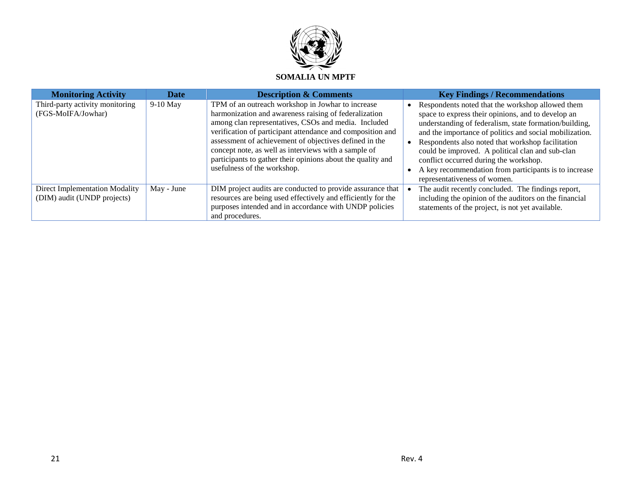

| <b>Monitoring Activity</b>                                    | <b>Date</b> | <b>Description &amp; Comments</b>                                                                                                                                                                                                                                                                                                                                                                                                                | <b>Key Findings / Recommendations</b>                                                                                                                                                                                                                                                                                                                                                                                                                                   |
|---------------------------------------------------------------|-------------|--------------------------------------------------------------------------------------------------------------------------------------------------------------------------------------------------------------------------------------------------------------------------------------------------------------------------------------------------------------------------------------------------------------------------------------------------|-------------------------------------------------------------------------------------------------------------------------------------------------------------------------------------------------------------------------------------------------------------------------------------------------------------------------------------------------------------------------------------------------------------------------------------------------------------------------|
| Third-party activity monitoring<br>(FGS-MoIFA/Jowhar)         | $9-10$ May  | TPM of an outreach workshop in Jowhar to increase<br>harmonization and awareness raising of federalization<br>among clan representatives, CSOs and media. Included<br>verification of participant attendance and composition and<br>assessment of achievement of objectives defined in the<br>concept note, as well as interviews with a sample of<br>participants to gather their opinions about the quality and<br>usefulness of the workshop. | Respondents noted that the workshop allowed them<br>space to express their opinions, and to develop an<br>understanding of federalism, state formation/building,<br>and the importance of politics and social mobilization.<br>Respondents also noted that workshop facilitation<br>could be improved. A political clan and sub-clan<br>conflict occurred during the workshop.<br>A key recommendation from participants is to increase<br>representativeness of women. |
| Direct Implementation Modality<br>(DIM) audit (UNDP projects) | May - June  | DIM project audits are conducted to provide assurance that<br>resources are being used effectively and efficiently for the<br>purposes intended and in accordance with UNDP policies<br>and procedures.                                                                                                                                                                                                                                          | The audit recently concluded. The findings report,<br>including the opinion of the auditors on the financial<br>statements of the project, is not yet available.                                                                                                                                                                                                                                                                                                        |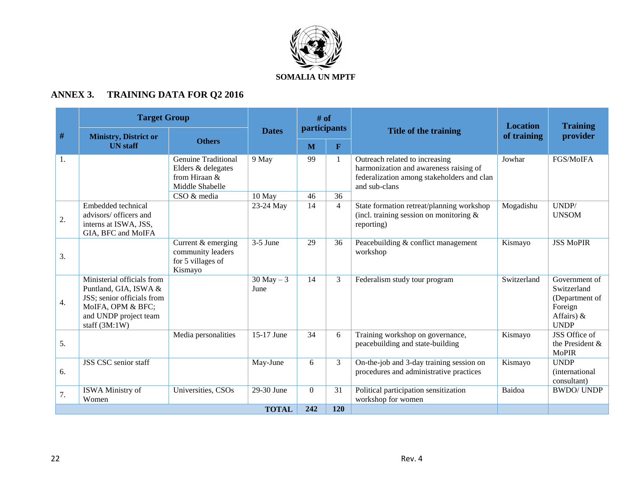

# **ANNEX 3. TRAINING DATA FOR Q2 2016**

|    | <b>Target Group</b>                                                                                                                                |                                                                                                     |                       | $#$ of<br><i>participants</i> |                    |                                                                                                                                         | <b>Location</b> | <b>Training</b>                                                                           |
|----|----------------------------------------------------------------------------------------------------------------------------------------------------|-----------------------------------------------------------------------------------------------------|-----------------------|-------------------------------|--------------------|-----------------------------------------------------------------------------------------------------------------------------------------|-----------------|-------------------------------------------------------------------------------------------|
| #  | <b>Ministry, District or</b><br><b>UN</b> staff                                                                                                    | <b>Others</b>                                                                                       | <b>Dates</b>          | M                             | $\mathbf{F}$       | Title of the training                                                                                                                   | of training     | provider                                                                                  |
| 1. |                                                                                                                                                    | <b>Genuine Traditional</b><br>Elders & delegates<br>from Hiraan &<br>Middle Shabelle<br>CSO & media | 9 May<br>10 May       | 99<br>46                      | $\mathbf{1}$<br>36 | Outreach related to increasing<br>harmonization and awareness raising of<br>federalization among stakeholders and clan<br>and sub-clans | Jowhar          | FGS/MoIFA                                                                                 |
| 2. | Embedded technical<br>advisors/ officers and<br>interns at ISWA, JSS,<br>GIA, BFC and MoIFA                                                        |                                                                                                     | 23-24 May             | 14                            | $\overline{4}$     | State formation retreat/planning workshop<br>(incl. training session on monitoring $&$<br>reporting)                                    | Mogadishu       | UNDP/<br><b>UNSOM</b>                                                                     |
| 3. |                                                                                                                                                    | Current & emerging<br>community leaders<br>for 5 villages of<br>Kismayo                             | $3-5$ June            | 29                            | 36                 | Peacebuilding & conflict management<br>workshop                                                                                         | Kismayo         | <b>JSS MoPIR</b>                                                                          |
| 4. | Ministerial officials from<br>Puntland, GIA, ISWA &<br>JSS; senior officials from<br>MoIFA, OPM & BFC;<br>and UNDP project team<br>staff $(3M:1W)$ |                                                                                                     | $30$ May $-3$<br>June | 14                            | 3                  | Federalism study tour program                                                                                                           | Switzerland     | Government of<br>Switzerland<br>(Department of<br>Foreign<br>Affairs) $\&$<br><b>UNDP</b> |
| 5. |                                                                                                                                                    | Media personalities                                                                                 | 15-17 June            | 34                            | 6                  | Training workshop on governance,<br>peacebuilding and state-building                                                                    | Kismayo         | JSS Office of<br>the President &<br><b>MoPIR</b>                                          |
| 6. | JSS CSC senior staff                                                                                                                               |                                                                                                     | May-June              | 6                             | 3                  | On-the-job and 3-day training session on<br>procedures and administrative practices                                                     | Kismayo         | <b>UNDP</b><br><i>(international)</i><br>consultant)                                      |
| 7. | ISWA Ministry of<br>Women                                                                                                                          | Universities, CSOs                                                                                  | 29-30 June            | $\Omega$                      | 31                 | Political participation sensitization<br>workshop for women                                                                             | Baidoa          | <b>BWDO/UNDP</b>                                                                          |
|    |                                                                                                                                                    |                                                                                                     | <b>TOTAL</b>          | 242                           | 120                |                                                                                                                                         |                 |                                                                                           |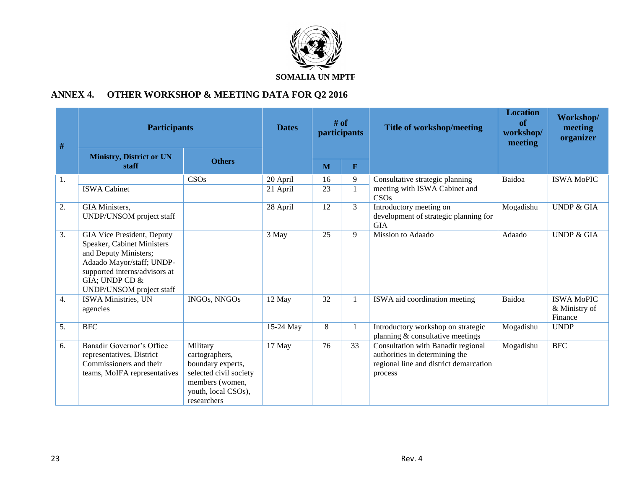

# **ANNEX 4. OTHER WORKSHOP & MEETING DATA FOR Q2 2016**

| #  | <b>Participants</b>                                                                                                                                                                           |                                                                                                                                    | <b>Dates</b>         | # of<br><i>participants</i> |                   | <b>Title of workshop/meeting</b>                                                                                          | <b>Location</b><br>of<br>workshop/<br>meeting | Workshop/<br>meeting<br>organizer             |
|----|-----------------------------------------------------------------------------------------------------------------------------------------------------------------------------------------------|------------------------------------------------------------------------------------------------------------------------------------|----------------------|-----------------------------|-------------------|---------------------------------------------------------------------------------------------------------------------------|-----------------------------------------------|-----------------------------------------------|
|    | <b>Ministry, District or UN</b><br>staff                                                                                                                                                      | <b>Others</b>                                                                                                                      |                      | M                           | $\mathbf{F}$      |                                                                                                                           |                                               |                                               |
| 1. | <b>ISWA Cabinet</b>                                                                                                                                                                           | CSOs                                                                                                                               | 20 April<br>21 April | 16<br>23                    | 9<br>$\mathbf{1}$ | Consultative strategic planning<br>meeting with ISWA Cabinet and<br><b>CSOs</b>                                           | Baidoa                                        | <b>ISWA MoPIC</b>                             |
| 2. | GIA Ministers,<br>UNDP/UNSOM project staff                                                                                                                                                    |                                                                                                                                    | 28 April             | 12                          | 3                 | Introductory meeting on<br>development of strategic planning for<br><b>GIA</b>                                            | Mogadishu                                     | <b>UNDP &amp; GIA</b>                         |
| 3. | GIA Vice President, Deputy<br>Speaker, Cabinet Ministers<br>and Deputy Ministers;<br>Adaado Mayor/staff; UNDP-<br>supported interns/advisors at<br>GIA; UNDP CD &<br>UNDP/UNSOM project staff |                                                                                                                                    | 3 May                | 25                          | 9                 | Mission to Adaado                                                                                                         | Adaado                                        | <b>UNDP &amp; GIA</b>                         |
| 4. | <b>ISWA</b> Ministries, UN<br>agencies                                                                                                                                                        | <b>INGOs, NNGOs</b>                                                                                                                | 12 May               | 32                          | $\mathbf{1}$      | ISWA aid coordination meeting                                                                                             | Baidoa                                        | <b>ISWA MoPIC</b><br>& Ministry of<br>Finance |
| 5. | <b>BFC</b>                                                                                                                                                                                    |                                                                                                                                    | 15-24 May            | 8                           | $\mathbf{1}$      | Introductory workshop on strategic<br>planning & consultative meetings                                                    | Mogadishu                                     | <b>UNDP</b>                                   |
| 6. | Banadir Governor's Office<br>representatives, District<br>Commissioners and their<br>teams, MoIFA representatives                                                                             | Military<br>cartographers,<br>boundary experts,<br>selected civil society<br>members (women,<br>youth, local CSOs),<br>researchers | 17 May               | 76                          | 33                | Consultation with Banadir regional<br>authorities in determining the<br>regional line and district demarcation<br>process | Mogadishu                                     | <b>BFC</b>                                    |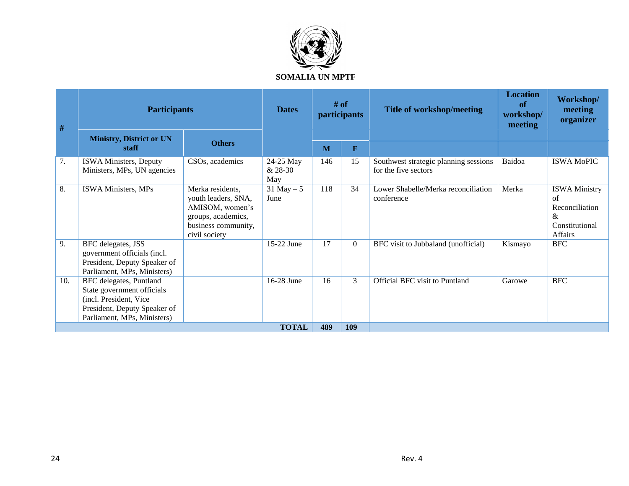

| #   | <b>Participants</b>                                                                                                                            |                                                                                                                          | <b>Dates</b>                | $#$ of<br>participants |                         | <b>Title of workshop/meeting</b>                              | <b>Location</b><br>of<br>workshop/<br>meeting | Workshop/<br>meeting<br>organizer                                                                        |
|-----|------------------------------------------------------------------------------------------------------------------------------------------------|--------------------------------------------------------------------------------------------------------------------------|-----------------------------|------------------------|-------------------------|---------------------------------------------------------------|-----------------------------------------------|----------------------------------------------------------------------------------------------------------|
|     | <b>Ministry, District or UN</b><br>staff                                                                                                       | <b>Others</b>                                                                                                            |                             | M                      | $\overline{\mathbf{F}}$ |                                                               |                                               |                                                                                                          |
| 7.  | ISWA Ministers, Deputy<br>Ministers, MPs, UN agencies                                                                                          | CSO <sub>s</sub> , academics                                                                                             | 24-25 May<br>& 28-30<br>May | 146                    | 15                      | Southwest strategic planning sessions<br>for the five sectors | Baidoa                                        | <b>ISWA MoPIC</b>                                                                                        |
| 8.  | ISWA Ministers, MPs                                                                                                                            | Merka residents,<br>youth leaders, SNA,<br>AMISOM, women's<br>groups, academics,<br>business community,<br>civil society | $31$ May $-5$<br>June       | 118                    | 34                      | Lower Shabelle/Merka reconciliation<br>conference             | Merka                                         | <b>ISWA Ministry</b><br>of<br>Reconciliation<br>$\mathcal{R}_{\mathcal{L}}$<br>Constitutional<br>Affairs |
| 9.  | BFC delegates, JSS<br>government officials (incl.<br>President, Deputy Speaker of<br>Parliament, MPs, Ministers)                               |                                                                                                                          | 15-22 June                  | 17                     | $\overline{0}$          | BFC visit to Jubbaland (unofficial)                           | Kismayo                                       | <b>BFC</b>                                                                                               |
| 10. | BFC delegates, Puntland<br>State government officials<br>(incl. President, Vice<br>President, Deputy Speaker of<br>Parliament, MPs, Ministers) |                                                                                                                          | 16-28 June                  | 16                     | 3                       | Official BFC visit to Puntland                                | Garowe                                        | <b>BFC</b>                                                                                               |
|     |                                                                                                                                                |                                                                                                                          | <b>TOTAL</b>                | 489                    | 109                     |                                                               |                                               |                                                                                                          |